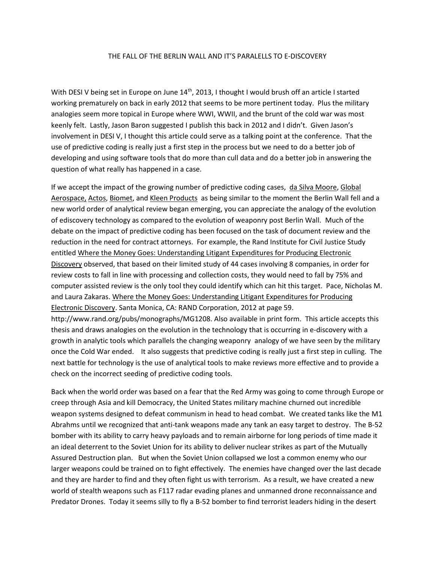## THE FALL OF THE BERLIN WALL AND IT'S PARALELLS TO E-DISCOVERY

With DESI V being set in Europe on June  $14<sup>th</sup>$ , 2013, I thought I would brush off an article I started working prematurely on back in early 2012 that seems to be more pertinent today. Plus the military analogies seem more topical in Europe where WWI, WWII, and the brunt of the cold war was most keenly felt. Lastly, Jason Baron suggested I publish this back in 2012 and I didn't. Given Jason's involvement in DESI V, I thought this article could serve as a talking point at the conference. That the use of predictive coding is really just a first step in the process but we need to do a better job of developing and using software tools that do more than cull data and do a better job in answering the question of what really has happened in a case.

If we accept the impact of the growing number of predictive coding cases, da Silva Moore, Global Aerospace, Actos, Biomet, and Kleen Products as being similar to the moment the Berlin Wall fell and a new world order of analytical review began emerging, you can appreciate the analogy of the evolution of ediscovery technology as compared to the evolution of weaponry post Berlin Wall. Much of the debate on the impact of predictive coding has been focused on the task of document review and the reduction in the need for contract attorneys. For example, the Rand Institute for Civil Justice Study entitled Where the Money Goes: Understanding Litigant Expenditures for Producing Electronic Discovery observed, that based on their limited study of 44 cases involving 8 companies, in order for review costs to fall in line with processing and collection costs, they would need to fall by 75% and computer assisted review is the only tool they could identify which can hit this target. Pace, Nicholas M. and Laura Zakaras. Where the Money Goes: Understanding Litigant Expenditures for Producing Electronic Discovery. Santa Monica, CA: RAND Corporation, 2012 at page 59. http://www.rand.org/pubs/monographs/MG1208. Also available in print form. This article accepts this thesis and draws analogies on the evolution in the technology that is occurring in e-discovery with a growth in analytic tools which parallels the changing weaponry analogy of we have seen by the military once the Cold War ended. It also suggests that predictive coding is really just a first step in culling. The next battle for technology is the use of analytical tools to make reviews more effective and to provide a check on the incorrect seeding of predictive coding tools.

Back when the world order was based on a fear that the Red Army was going to come through Europe or creep through Asia and kill Democracy, the United States military machine churned out incredible weapon systems designed to defeat communism in head to head combat. We created tanks like the M1 Abrahms until we recognized that anti-tank weapons made any tank an easy target to destroy. The B-52 bomber with its ability to carry heavy payloads and to remain airborne for long periods of time made it an ideal deterrent to the Soviet Union for its ability to deliver nuclear strikes as part of the Mutually Assured Destruction plan. But when the Soviet Union collapsed we lost a common enemy who our larger weapons could be trained on to fight effectively. The enemies have changed over the last decade and they are harder to find and they often fight us with terrorism. As a result, we have created a new world of stealth weapons such as F117 radar evading planes and unmanned drone reconnaissance and Predator Drones. Today it seems silly to fly a B-52 bomber to find terrorist leaders hiding in the desert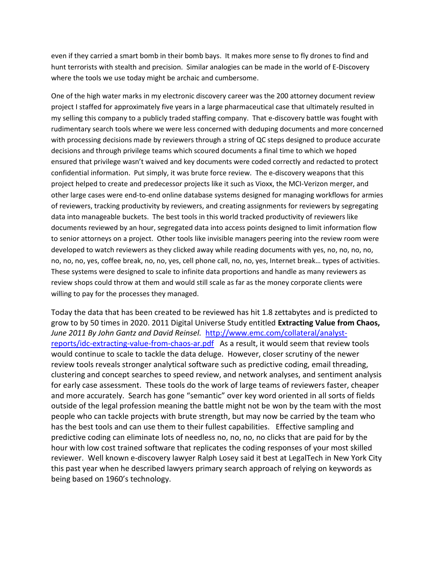even if they carried a smart bomb in their bomb bays. It makes more sense to fly drones to find and hunt terrorists with stealth and precision. Similar analogies can be made in the world of E-Discovery where the tools we use today might be archaic and cumbersome.

One of the high water marks in my electronic discovery career was the 200 attorney document review project I staffed for approximately five years in a large pharmaceutical case that ultimately resulted in my selling this company to a publicly traded staffing company. That e-discovery battle was fought with rudimentary search tools where we were less concerned with deduping documents and more concerned with processing decisions made by reviewers through a string of QC steps designed to produce accurate decisions and through privilege teams which scoured documents a final time to which we hoped ensured that privilege wasn't waived and key documents were coded correctly and redacted to protect confidential information. Put simply, it was brute force review. The e-discovery weapons that this project helped to create and predecessor projects like it such as Vioxx, the MCI-Verizon merger, and other large cases were end-to-end online database systems designed for managing workflows for armies of reviewers, tracking productivity by reviewers, and creating assignments for reviewers by segregating data into manageable buckets. The best tools in this world tracked productivity of reviewers like documents reviewed by an hour, segregated data into access points designed to limit information flow to senior attorneys on a project. Other tools like invisible managers peering into the review room were developed to watch reviewers as they clicked away while reading documents with yes, no, no, no, no, no, no, no, yes, coffee break, no, no, yes, cell phone call, no, no, yes, Internet break… types of activities. These systems were designed to scale to infinite data proportions and handle as many reviewers as review shops could throw at them and would still scale as far as the money corporate clients were willing to pay for the processes they managed.

Today the data that has been created to be reviewed has hit 1.8 zettabytes and is predicted to grow to by 50 times in 2020. 2011 Digital Universe Study entitled **Extracting Value from Chaos,**  *June 2011 By John Gantz and David Reinsel.* [http://www.emc.com/collateral/analyst](http://www.emc.com/collateral/analyst-reports/idc-extracting-value-from-chaos-ar.pdf)[reports/idc-extracting-value-from-chaos-ar.pdf](http://www.emc.com/collateral/analyst-reports/idc-extracting-value-from-chaos-ar.pdf) As a result, it would seem that review tools would continue to scale to tackle the data deluge. However, closer scrutiny of the newer review tools reveals stronger analytical software such as predictive coding, email threading, clustering and concept searches to speed review, and network analyses, and sentiment analysis for early case assessment. These tools do the work of large teams of reviewers faster, cheaper and more accurately. Search has gone "semantic" over key word oriented in all sorts of fields outside of the legal profession meaning the battle might not be won by the team with the most people who can tackle projects with brute strength, but may now be carried by the team who has the best tools and can use them to their fullest capabilities. Effective sampling and predictive coding can eliminate lots of needless no, no, no, no clicks that are paid for by the hour with low cost trained software that replicates the coding responses of your most skilled reviewer. Well known e-discovery lawyer Ralph Losey said it best at LegalTech in New York City this past year when he described lawyers primary search approach of relying on keywords as being based on 1960's technology.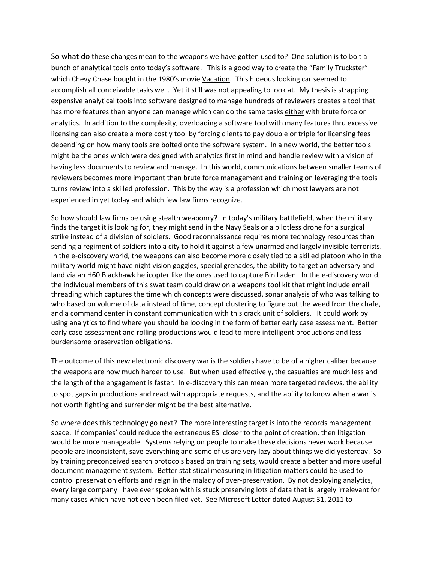So what do these changes mean to the weapons we have gotten used to? One solution is to bolt a bunch of analytical tools onto today's software. This is a good way to create the "Family Truckster" which Chevy Chase bought in the 1980's movie Vacation. This hideous looking car seemed to accomplish all conceivable tasks well. Yet it still was not appealing to look at. My thesis is strapping expensive analytical tools into software designed to manage hundreds of reviewers creates a tool that has more features than anyone can manage which can do the same tasks either with brute force or analytics. In addition to the complexity, overloading a software tool with many features thru excessive licensing can also create a more costly tool by forcing clients to pay double or triple for licensing fees depending on how many tools are bolted onto the software system. In a new world, the better tools might be the ones which were designed with analytics first in mind and handle review with a vision of having less documents to review and manage. In this world, communications between smaller teams of reviewers becomes more important than brute force management and training on leveraging the tools turns review into a skilled profession. This by the way is a profession which most lawyers are not experienced in yet today and which few law firms recognize.

So how should law firms be using stealth weaponry? In today's military battlefield, when the military finds the target it is looking for, they might send in the Navy Seals or a pilotless drone for a surgical strike instead of a division of soldiers. Good reconnaissance requires more technology resources than sending a regiment of soldiers into a city to hold it against a few unarmed and largely invisible terrorists. In the e-discovery world, the weapons can also become more closely tied to a skilled platoon who in the military world might have night vision goggles, special grenades, the ability to target an adversary and land via an H60 Blackhawk helicopter like the ones used to capture Bin Laden. In the e-discovery world, the individual members of this swat team could draw on a weapons tool kit that might include email threading which captures the time which concepts were discussed, sonar analysis of who was talking to who based on volume of data instead of time, concept clustering to figure out the weed from the chafe, and a command center in constant communication with this crack unit of soldiers. It could work by using analytics to find where you should be looking in the form of better early case assessment. Better early case assessment and rolling productions would lead to more intelligent productions and less burdensome preservation obligations.

The outcome of this new electronic discovery war is the soldiers have to be of a higher caliber because the weapons are now much harder to use. But when used effectively, the casualties are much less and the length of the engagement is faster. In e-discovery this can mean more targeted reviews, the ability to spot gaps in productions and react with appropriate requests, and the ability to know when a war is not worth fighting and surrender might be the best alternative.

So where does this technology go next? The more interesting target is into the records management space. If companies' could reduce the extraneous ESI closer to the point of creation, then litigation would be more manageable. Systems relying on people to make these decisions never work because people are inconsistent, save everything and some of us are very lazy about things we did yesterday. So by training preconceived search protocols based on training sets, would create a better and more useful document management system. Better statistical measuring in litigation matters could be used to control preservation efforts and reign in the malady of over-preservation. By not deploying analytics, every large company I have ever spoken with is stuck preserving lots of data that is largely irrelevant for many cases which have not even been filed yet. See Microsoft Letter dated August 31, 2011 to